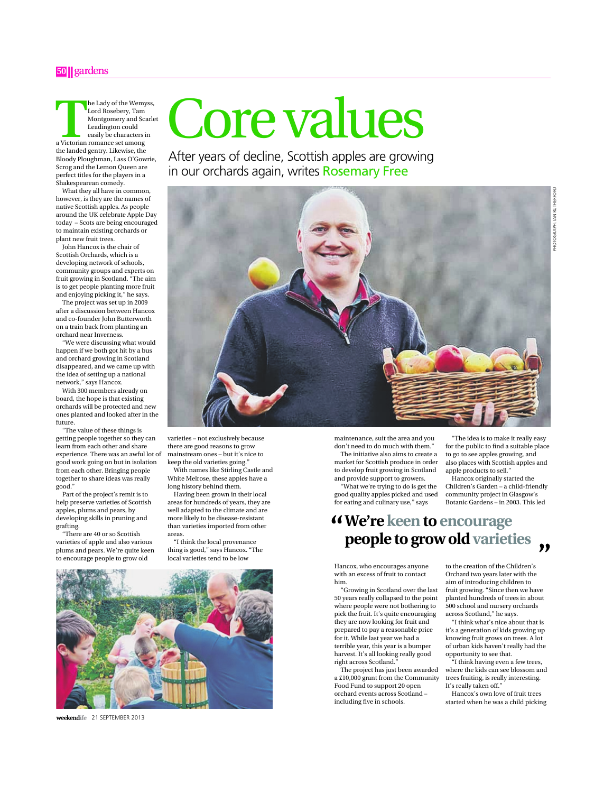#### **4520** gardens

**The Lady of the Wemyss,**<br>
Lord Rosebery, Tam<br>
Montgomer and Scarle<br>
Leadington could<br>
easily be characters in<br>
a Victorian romance set among Lord Rosebery, Tam Montgomery and Scarlet Leadington could easily be characters in the landed gentry. Likewise, the Bloody Ploughman, Lass O'Gowrie, Scrog and the Lemon Queen are perfect titles for the players in a Shakespearean comedy.

What they all have in common, however, is they are the names of native Scottish apples. As people around the UK celebrate Apple Day today – Scots are being encouraged to maintain existing orchards or plant new fruit trees.

John Hancox is the chair of Scottish Orchards, which is a developing network of schools, community groups and experts on fruit growing in Scotland. "The aim is to get people planting more fruit and enjoying picking it," he says.

The project was set up in 2009 after a discussion between Hancox and co-founder John Butterworth on a train back from planting an orchard near Inverness.

"We were discussing what would happen if we both got hit by a bus and orchard growing in Scotland disappeared, and we came up with the idea of setting up a national network," says Hancox.

With 300 members already on board, the hope is that existing orchards will be protected and new ones planted and looked after in the future.

"The value of these things is getting people together so they can learn from each other and share experience. There was an awful lot of good work going on but in isolation from each other. Bringing people together to share ideas was really good."

Part of the project's remit is to help preserve varieties of Scottish apples, plums and pears, by developing skills in pruning and grafting.

"There are 40 or so Scottish varieties of apple and also various plums and pears. We're quite keen to encourage people to grow old

Corevalues

After years of decline, Scottish apples are growing in our orchards again, writes Rosemary Free



**IAN RUTHERFORD** 

varieties – not exclusively because there are good reasons to grow mainstream ones – but it's nice to keep the old varieties going."

With names like Stirling Castle and White Melrose, these apples have a long history behind them.

Having been grown in their local areas for hundreds of years, they are well adapted to the climate and are more likely to be disease-resistant than varieties imported from other areas.

"I think the local provenance thing is good," says Hancox. "The local varieties tend to be low



weekendife 21 SEPTEMBER 2013

maintenance, suit the area and you don't need to do much with them."

The initiative also aims to create a market for Scottish produce in order to develop fruit growing in Scotland and provide support to growers.

"What we're trying to do is get the good quality apples picked and used for eating and culinary use," says

"The idea is to make it really easy for the public to find a suitable place to go to see apples growing, and also places with Scottish apples and apple products to sell."

Hancox originally started the Children's Garden – a child-friendly community project in Glasgow's Botanic Gardens – in 2003. This led

# **We're keento encourage people to growoldvarieties**

Hancox, who encourages anyone with an excess of fruit to contact him.

"Growing in Scotland over the last 50 years really collapsed to the point where people were not bothering to pick the fruit. It's quite encouraging they are now looking for fruit and prepared to pay a reasonable price for it. While last year we had a terrible year, this year is a bumper harvest. It's all looking really good right across Scotland."

The project has just been awarded a £10,000 grant from the Community Food Fund to support 20 open orchard events across Scotland – including five in schools.

to the creation of the Children's Orchard two years later with the aim of introducing children to fruit growing. "Since then we have planted hundreds of trees in about 500 school and nursery orchards across Scotland," he says.

"I think what's nice about that is it's a generation of kids growing up knowing fruit grows on trees. A lot of urban kids haven't really had the opportunity to see that.

"I think having even a few trees, where the kids can see blossom and trees fruiting, is really interesting. It's really taken off."

Hancox's own love of fruit trees started when he was a child picking